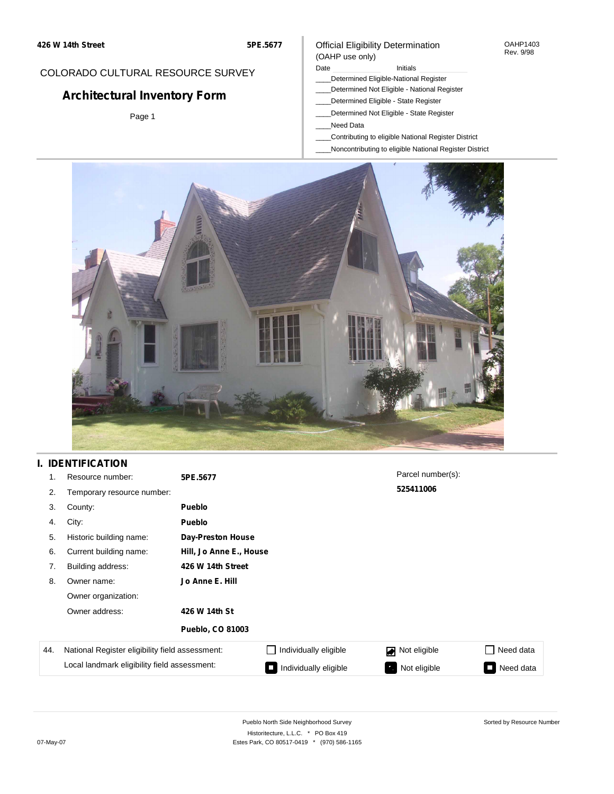#### Official Eligibility Determination (OAHP use only)

#### OAHP1403 Rev. 9/98

### COLORADO CULTURAL RESOURCE SURVEY

# **Architectural Inventory Form**

Page 1

### Date **Initials** Initials

- \_\_\_\_Determined Eligible-National Register
- \_\_\_\_Determined Not Eligible National Register \_\_\_\_Determined Eligible - State Register
- \_\_\_\_Determined Not Eligible State Register
- \_\_\_\_Need Data
- 
- \_\_\_\_Contributing to eligible National Register District
- \_\_\_\_Noncontributing to eligible National Register District



### **I. IDENTIFICATION**

| 1.  | Resource number:                                | 5PE.5677                 |                         | Parcel number(s): |           |  |  |
|-----|-------------------------------------------------|--------------------------|-------------------------|-------------------|-----------|--|--|
| 2.  | Temporary resource number:                      |                          |                         | 525411006         |           |  |  |
| 3.  | County:                                         | <b>Pueblo</b>            |                         |                   |           |  |  |
| 4.  | City:                                           | <b>Pueblo</b>            |                         |                   |           |  |  |
| 5.  | Historic building name:                         | <b>Day-Preston House</b> |                         |                   |           |  |  |
| 6.  | Current building name:                          |                          | Hill, Jo Anne E., House |                   |           |  |  |
| 7.  | Building address:                               | 426 W 14th Street        |                         |                   |           |  |  |
| 8.  | Owner name:                                     | Jo Anne E. Hill          |                         |                   |           |  |  |
|     | Owner organization:                             |                          |                         |                   |           |  |  |
|     | Owner address:                                  | 426 W 14th St            |                         |                   |           |  |  |
|     |                                                 | <b>Pueblo, CO 81003</b>  |                         |                   |           |  |  |
| 44. | National Register eligibility field assessment: |                          | Individually eligible   | Not eligible      | Need data |  |  |
|     | Local landmark eligibility field assessment:    |                          | Individually eligible   | Not eligible      | Need data |  |  |

Sorted by Resource Number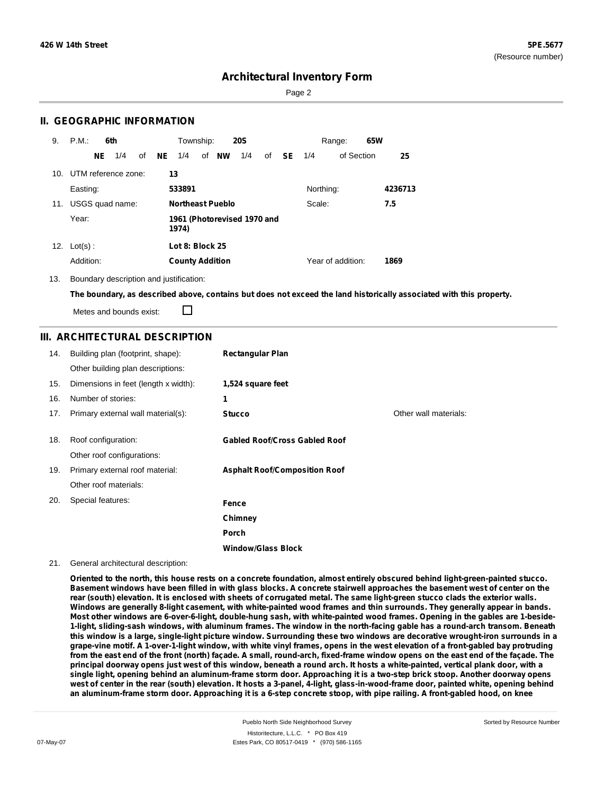Page 2

### **II. GEOGRAPHIC INFORMATION**

| 9.  | P.M.                    |     | 6th             |    |    | Township:                            |  |                         | <b>20S</b> |    |           |           | Range:            | 65W |         |
|-----|-------------------------|-----|-----------------|----|----|--------------------------------------|--|-------------------------|------------|----|-----------|-----------|-------------------|-----|---------|
|     |                         | NE. | 1/4             | of | NE | 1/4                                  |  | of <b>NW</b>            | 1/4        | of | <b>SE</b> | 1/4       | of Section        |     | 25      |
|     | 10. UTM reference zone: |     |                 |    |    | 13                                   |  |                         |            |    |           |           |                   |     |         |
|     | Easting:                |     |                 |    |    | 533891                               |  |                         |            |    |           | Northing: |                   |     | 4236713 |
| 11. |                         |     | USGS quad name: |    |    |                                      |  | <b>Northeast Pueblo</b> |            |    |           | Scale:    |                   |     | 7.5     |
|     | Year:                   |     |                 |    |    | 1961 (Photorevised 1970 and<br>1974) |  |                         |            |    |           |           |                   |     |         |
| 12. | $Lot(s)$ :              |     |                 |    |    | Lot 8: Block 25                      |  |                         |            |    |           |           |                   |     |         |
|     | Addition:               |     |                 |    |    | <b>County Addition</b>               |  |                         |            |    |           |           | Year of addition: |     | 1869    |

13. Boundary description and justification:

The boundary, as described above, contains but does not exceed the land historically associated with this property.

Metes and bounds exist:

П

### **III. ARCHITECTURAL DESCRIPTION**

| 14. | Building plan (footprint, shape):    | <b>Rectangular Plan</b>              |                       |
|-----|--------------------------------------|--------------------------------------|-----------------------|
|     | Other building plan descriptions:    |                                      |                       |
| 15. | Dimensions in feet (length x width): | 1,524 square feet                    |                       |
| 16. | Number of stories:                   | 1                                    |                       |
| 17. | Primary external wall material(s):   | <b>Stucco</b>                        | Other wall materials: |
|     |                                      |                                      |                       |
| 18. | Roof configuration:                  | <b>Gabled Roof/Cross Gabled Roof</b> |                       |
|     | Other roof configurations:           |                                      |                       |
| 19. | Primary external roof material:      | <b>Asphalt Roof/Composition Roof</b> |                       |
|     | Other roof materials:                |                                      |                       |
| 20. | Special features:                    | Fence                                |                       |
|     |                                      | Chimney                              |                       |
|     |                                      | Porch                                |                       |
|     |                                      | <b>Window/Glass Block</b>            |                       |

#### 21. General architectural description:

Oriented to the north, this house rests on a concrete foundation, almost entirely obscured behind light-green-painted stucco. Basement windows have been filled in with glass blocks. A concrete stairwell approaches the basement west of center on the rear (south) elevation. It is enclosed with sheets of corrugated metal. The same light-green stucco clads the exterior walls. Windows are generally 8-light casement, with white-painted wood frames and thin surrounds. They generally appear in bands. Most other windows are 6-over-6-light, double-hung sash, with white-painted wood frames. Opening in the gables are 1-beside-1-light, sliding-sash windows, with aluminum frames. The window in the north-facing gable has a round-arch transom. Beneath this window is a large, single-light picture window. Surrounding these two windows are decorative wrought-iron surrounds in a grape-vine motif. A 1-over-1-light window, with white vinyl frames, opens in the west elevation of a front-gabled bay protruding from the east end of the front (north) façade. A small, round-arch, fixed-frame window opens on the east end of the façade. The principal doorway opens just west of this window, beneath a round arch. It hosts a white-painted, vertical plank door, with a single light, opening behind an aluminum-frame storm door. Approaching it is a two-step brick stoop. Another doorway opens west of center in the rear (south) elevation. It hosts a 3-panel, 4-light, glass-in-wood-frame door, painted white, opening behind an aluminum-frame storm door. Approaching it is a 6-step concrete stoop, with pipe railing. A front-gabled hood, on knee

Sorted by Resource Number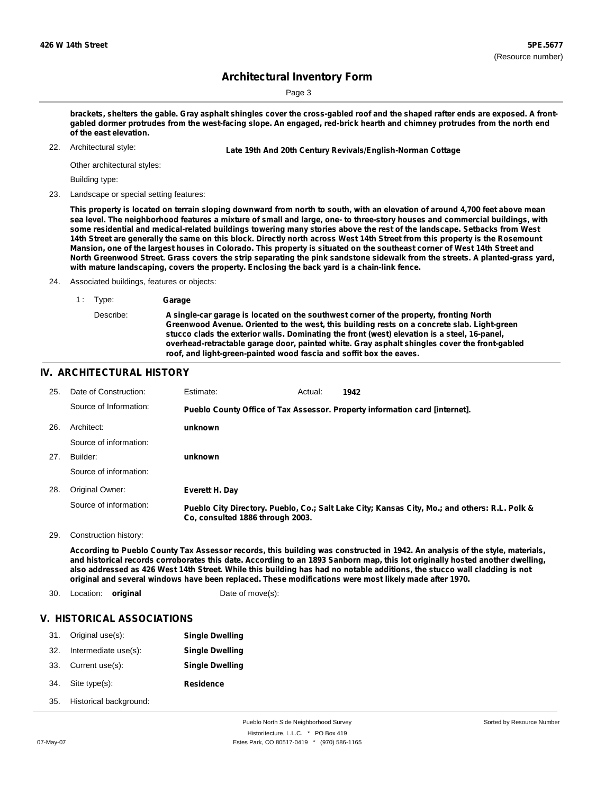Sorted by Resource Number

### **Architectural Inventory Form**

Page 3

brackets, shelters the gable. Gray asphalt shingles cover the cross-gabled roof and the shaped rafter ends are exposed. A frontgabled dormer protrudes from the west-facing slope. An engaged, red-brick hearth and chimney protrudes from the north end **of the east elevation.**

Architectural style:

22. **Late 19th And 20th Century Revivals/English-Norman Cottage**

Other architectural styles:

Building type:

23. Landscape or special setting features:

This property is located on terrain sloping downward from north to south, with an elevation of around 4,700 feet above mean sea level. The neighborhood features a mixture of small and large, one- to three-story houses and commercial buildings, with some residential and medical-related buildings towering many stories above the rest of the landscape. Setbacks from West 14th Street are generally the same on this block. Directly north across West 14th Street from this property is the Rosemount Mansion, one of the largest houses in Colorado. This property is situated on the southeast corner of West 14th Street and North Greenwood Street. Grass covers the strip separating the pink sandstone sidewalk from the streets. A planted-grass yard, **with mature landscaping, covers the property. Enclosing the back yard is a chain-link fence.**

24. Associated buildings, features or objects:

1 : Type: **Garage** Describe: **A single-car garage is located on the southwest corner of the property, fronting North Greenwood Avenue. Oriented to the west, this building rests on a concrete slab. Light-green stucco clads the exterior walls. Dominating the front (west) elevation is a steel, 16-panel, overhead-retractable garage door, painted white. Gray asphalt shingles cover the front-gabled roof, and light-green-painted wood fascia and soffit box the eaves.**

#### **IV. ARCHITECTURAL HISTORY**

| 25. | Date of Construction:  | Estimate:                        | Actual: | 1942                                                                                          |
|-----|------------------------|----------------------------------|---------|-----------------------------------------------------------------------------------------------|
|     | Source of Information: |                                  |         | Pueblo County Office of Tax Assessor. Property information card [internet].                   |
| 26. | Architect:             | unknown                          |         |                                                                                               |
|     | Source of information: |                                  |         |                                                                                               |
| 27. | Builder:               | unknown                          |         |                                                                                               |
|     | Source of information: |                                  |         |                                                                                               |
| 28. | Original Owner:        | Everett H. Day                   |         |                                                                                               |
|     | Source of information: | Co. consulted 1886 through 2003. |         | Pueblo City Directory. Pueblo, Co.; Salt Lake City; Kansas City, Mo.; and others: R.L. Polk & |

29. Construction history:

According to Pueblo County Tax Assessor records, this building was constructed in 1942. An analysis of the style, materials, and historical records corroborates this date. According to an 1893 Sanborn map, this lot originally hosted another dwelling, also addressed as 426 West 14th Street. While this building has had no notable additions, the stucco wall cladding is not **original and several windows have been replaced. These modifications were most likely made after 1970.**

30. Location: **original** Date of move(s):

#### **V. HISTORICAL ASSOCIATIONS**

| 31. | Original use(s):       | <b>Single Dwelling</b> |
|-----|------------------------|------------------------|
| 32. | Intermediate use(s):   | <b>Single Dwelling</b> |
| 33. | Current use(s):        | <b>Single Dwelling</b> |
| 34. | Site type(s):          | <b>Residence</b>       |
| 35. | Historical background: |                        |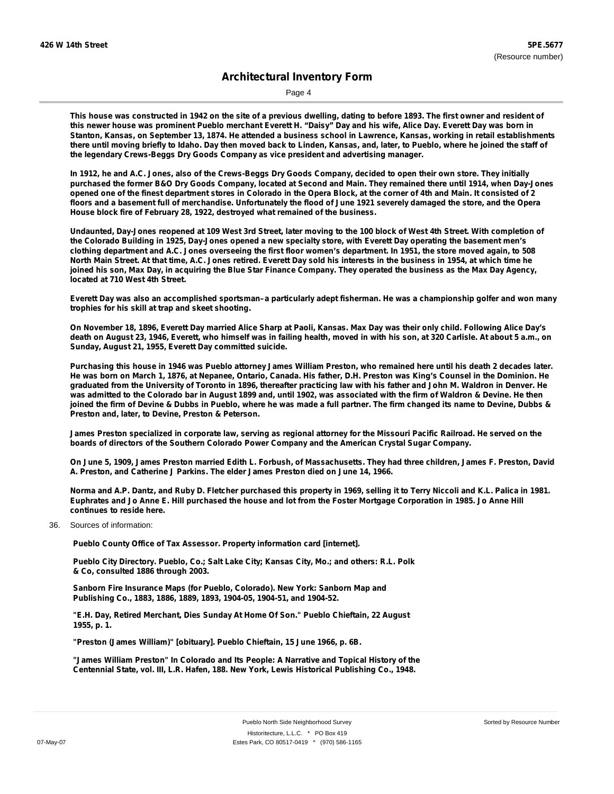Page 4

This house was constructed in 1942 on the site of a previous dwelling, dating to before 1893. The first owner and resident of this newer house was prominent Pueblo merchant Everett H. "Daisy" Day and his wife, Alice Day. Everett Day was born in Stanton, Kansas, on September 13, 1874. He attended a business school in Lawrence, Kansas, working in retail establishments there until moving briefly to Idaho. Day then moved back to Linden, Kansas, and, later, to Pueblo, where he joined the staff of **the legendary Crews-Beggs Dry Goods Company as vice president and advertising manager.**

In 1912, he and A.C. Jones, also of the Crews-Beggs Dry Goods Company, decided to open their own store. They initially purchased the former B&O Dry Goods Company, located at Second and Main. They remained there until 1914, when Day-Jones opened one of the finest department stores in Colorado in the Opera Block, at the corner of 4th and Main. It consisted of 2 floors and a basement full of merchandise. Unfortunately the flood of June 1921 severely damaged the store, and the Opera **House block fire of February 28, 1922, destroyed what remained of the business.**

Undaunted, Day-Jones reopened at 109 West 3rd Street, later moving to the 100 block of West 4th Street. With completion of the Colorado Building in 1925, Day-Jones opened a new specialty store, with Everett Day operating the basement men's clothing department and A.C. Jones overseeing the first floor women's department. In 1951, the store moved again, to 508 North Main Street. At that time, A.C. Jones retired. Everett Day sold his interests in the business in 1954, at which time he joined his son, Max Day, in acquiring the Blue Star Finance Company. They operated the business as the Max Day Agency, **located at 710 West 4th Street.**

Everett Day was also an accomplished sportsman-a particularly adept fisherman. He was a championship golfer and won many **trophies for his skill at trap and skeet shooting.**

On November 18, 1896, Everett Day married Alice Sharp at Paoli, Kansas. Max Day was their only child. Following Alice Day's death on August 23, 1946, Everett, who himself was in failing health, moved in with his son, at 320 Carlisle. At about 5 a.m., on **Sunday, August 21, 1955, Everett Day committed suicide.**

Purchasing this house in 1946 was Pueblo attorney James William Preston, who remained here until his death 2 decades later. He was born on March 1, 1876, at Nepanee, Ontario, Canada. His father, D.H. Preston was King's Counsel in the Dominion. He graduated from the University of Toronto in 1896, thereafter practicing law with his father and John M. Waldron in Denver. He was admitted to the Colorado bar in August 1899 and, until 1902, was associated with the firm of Waldron & Devine. He then joined the firm of Devine & Dubbs in Pueblo, where he was made a full partner. The firm changed its name to Devine, Dubbs & **Preston and, later, to Devine, Preston & Peterson.**

James Preston specialized in corporate law, serving as regional attorney for the Missouri Pacific Railroad. He served on the **boards of directors of the Southern Colorado Power Company and the American Crystal Sugar Company.**

On June 5, 1909, James Preston married Edith L. Forbush, of Massachusetts. They had three children, James F. Preston, David **A. Preston, and Catherine J Parkins. The elder James Preston died on June 14, 1966.**

Norma and A.P. Dantz, and Ruby D. Fletcher purchased this property in 1969, selling it to Terry Niccoli and K.L. Palica in 1981. Euphrates and Jo Anne E. Hill purchased the house and lot from the Foster Mortgage Corporation in 1985. Jo Anne Hill **continues to reside here.**

36. Sources of information:

**Pueblo County Office of Tax Assessor. Property information card [internet].**

**Pueblo City Directory. Pueblo, Co.; Salt Lake City; Kansas City, Mo.; and others: R.L. Polk & Co, consulted 1886 through 2003.**

**Sanborn Fire Insurance Maps (for Pueblo, Colorado). New York: Sanborn Map and Publishing Co., 1883, 1886, 1889, 1893, 1904-05, 1904-51, and 1904-52.**

**"E.H. Day, Retired Merchant, Dies Sunday At Home Of Son." Pueblo Chieftain, 22 August 1955, p. 1.**

**"Preston (James William)" [obituary]. Pueblo Chieftain, 15 June 1966, p. 6B.**

**"James William Preston" In Colorado and Its People: A Narrative and Topical History of the Centennial State, vol. III, L.R. Hafen, 188. New York, Lewis Historical Publishing Co., 1948.**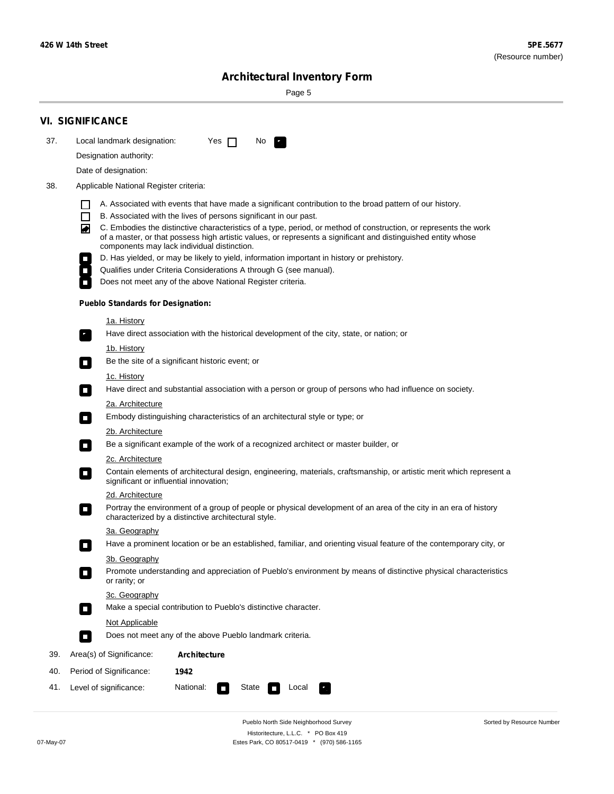÷

Sorted by Resource Number

# **Architectural Inventory Form**

Page 5

|     | <b>VI. SIGNIFICANCE</b>                                                                                                                                                                                                           |  |  |  |  |  |  |
|-----|-----------------------------------------------------------------------------------------------------------------------------------------------------------------------------------------------------------------------------------|--|--|--|--|--|--|
| 37. | Local landmark designation:<br>Yes $\Box$<br>No.                                                                                                                                                                                  |  |  |  |  |  |  |
|     | Designation authority:                                                                                                                                                                                                            |  |  |  |  |  |  |
|     | Date of designation:                                                                                                                                                                                                              |  |  |  |  |  |  |
| 38. | Applicable National Register criteria:                                                                                                                                                                                            |  |  |  |  |  |  |
|     | A. Associated with events that have made a significant contribution to the broad pattern of our history.<br>l.                                                                                                                    |  |  |  |  |  |  |
|     | B. Associated with the lives of persons significant in our past.<br>$\Box$                                                                                                                                                        |  |  |  |  |  |  |
|     | C. Embodies the distinctive characteristics of a type, period, or method of construction, or represents the work<br>of a master, or that possess high artistic values, or represents a significant and distinguished entity whose |  |  |  |  |  |  |
|     | components may lack individual distinction.<br>D. Has yielded, or may be likely to yield, information important in history or prehistory.                                                                                         |  |  |  |  |  |  |
|     | Qualifies under Criteria Considerations A through G (see manual).                                                                                                                                                                 |  |  |  |  |  |  |
|     | Does not meet any of the above National Register criteria.                                                                                                                                                                        |  |  |  |  |  |  |
|     | <b>Pueblo Standards for Designation:</b>                                                                                                                                                                                          |  |  |  |  |  |  |
|     | 1a. History                                                                                                                                                                                                                       |  |  |  |  |  |  |
|     | Have direct association with the historical development of the city, state, or nation; or                                                                                                                                         |  |  |  |  |  |  |
|     | <u>1b. History</u>                                                                                                                                                                                                                |  |  |  |  |  |  |
|     | Be the site of a significant historic event; or<br>$\mathcal{L}_{\mathcal{A}}$                                                                                                                                                    |  |  |  |  |  |  |
|     | 1c. History                                                                                                                                                                                                                       |  |  |  |  |  |  |
|     | Have direct and substantial association with a person or group of persons who had influence on society.<br>$\blacksquare$                                                                                                         |  |  |  |  |  |  |
|     | 2a. Architecture                                                                                                                                                                                                                  |  |  |  |  |  |  |
|     | Embody distinguishing characteristics of an architectural style or type; or<br>$\overline{\phantom{a}}$                                                                                                                           |  |  |  |  |  |  |
|     | 2b. Architecture                                                                                                                                                                                                                  |  |  |  |  |  |  |
|     | Be a significant example of the work of a recognized architect or master builder, or<br>$\sim$                                                                                                                                    |  |  |  |  |  |  |
|     | 2c. Architecture                                                                                                                                                                                                                  |  |  |  |  |  |  |
|     | Contain elements of architectural design, engineering, materials, craftsmanship, or artistic merit which represent a<br>О<br>significant or influential innovation;                                                               |  |  |  |  |  |  |
|     | 2d. Architecture                                                                                                                                                                                                                  |  |  |  |  |  |  |
|     | Portray the environment of a group of people or physical development of an area of the city in an era of history<br>$\Box$<br>characterized by a distinctive architectural style.                                                 |  |  |  |  |  |  |
|     | 3a. Geography                                                                                                                                                                                                                     |  |  |  |  |  |  |
|     | Have a prominent location or be an established, familiar, and orienting visual feature of the contemporary city, or                                                                                                               |  |  |  |  |  |  |
|     | 3b. Geography                                                                                                                                                                                                                     |  |  |  |  |  |  |
|     | Promote understanding and appreciation of Pueblo's environment by means of distinctive physical characteristics<br>or rarity; or                                                                                                  |  |  |  |  |  |  |
|     | 3c. Geography                                                                                                                                                                                                                     |  |  |  |  |  |  |
|     | Make a special contribution to Pueblo's distinctive character.<br>$\sim$                                                                                                                                                          |  |  |  |  |  |  |
|     | Not Applicable                                                                                                                                                                                                                    |  |  |  |  |  |  |
|     | Does not meet any of the above Pueblo landmark criteria.<br>$\overline{\phantom{a}}$                                                                                                                                              |  |  |  |  |  |  |
| 39. | Area(s) of Significance:<br><b>Architecture</b>                                                                                                                                                                                   |  |  |  |  |  |  |
| 40. | Period of Significance:<br>1942                                                                                                                                                                                                   |  |  |  |  |  |  |
| 41. | National:<br>Level of significance:<br>State<br>Local<br>т,<br>$\Box$                                                                                                                                                             |  |  |  |  |  |  |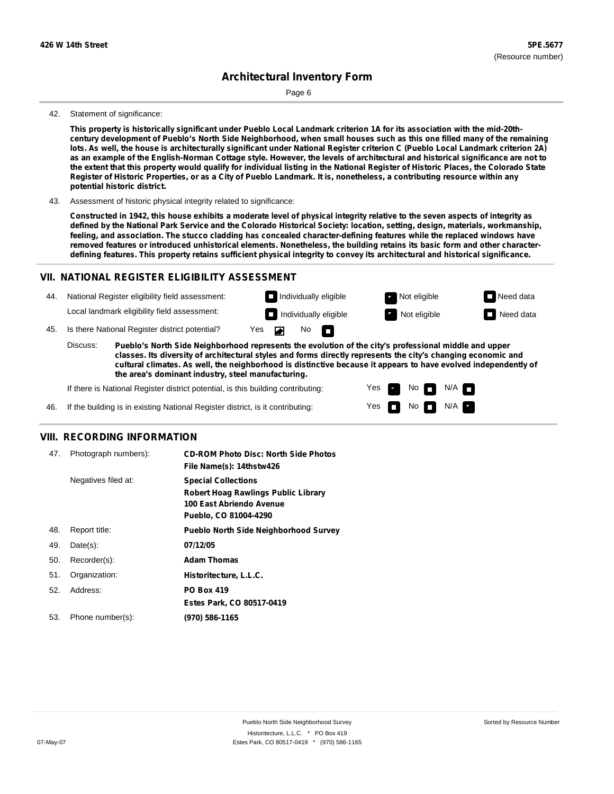Page 6

#### 42. Statement of significance:

This property is historically significant under Pueblo Local Landmark criterion 1A for its association with the mid-20thcentury development of Pueblo's North Side Neighborhood, when small houses such as this one filled many of the remaining lots. As well, the house is architecturally significant under National Register criterion C (Pueblo Local Landmark criterion 2A) as an example of the English-Norman Cottage style. However, the levels of architectural and historical significance are not to the extent that this property would qualify for individual listing in the National Register of Historic Places, the Colorado State Register of Historic Properties, or as a City of Pueblo Landmark. It is, nonetheless, a contributing resource within any **potential historic district.**

43. Assessment of historic physical integrity related to significance:

Constructed in 1942, this house exhibits a moderate level of physical integrity relative to the seven aspects of integrity as defined by the National Park Service and the Colorado Historical Society: location, setting, design, materials, workmanship, **feeling, and association. The stucco cladding has concealed character-defining features while the replaced windows have** removed features or introduced unhistorical elements. Nonetheless, the building retains its basic form and other characterdefining features. This property retains sufficient physical integrity to convey its architectural and historical significance.

#### **VII. NATIONAL REGISTER ELIGIBILITY ASSESSMENT**

44. National Register eligibility field assessment: Local landmark eligibility field assessment:

**Individually eligible Not eligible** Not eligible **Need data Individually eligible Not eligible Not eligible Need data** 

 $No$ 

No

 $No$   $N/A$ 

N/A

Yes Yes

45. Is there National Register district potential? Yes

**Pueblo's North Side Neighborhood represents the evolution of the city's professional middle and upper classes. Its diversity of architectural styles and forms directly represents the city's changing economic and cultural climates. As well, the neighborhood is distinctive because it appears to have evolved independently of the area's dominant industry, steel manufacturing.** Discuss:

 $\blacksquare$ 

If there is National Register district potential, is this building contributing:



#### **VIII. RECORDING INFORMATION**

| 47. | Photograph numbers): | <b>CD-ROM Photo Disc: North Side Photos</b><br>File Name(s): 14thstw426                                                       |
|-----|----------------------|-------------------------------------------------------------------------------------------------------------------------------|
|     | Negatives filed at:  | <b>Special Collections</b><br><b>Robert Hoag Rawlings Public Library</b><br>100 East Abriendo Avenue<br>Pueblo, CO 81004-4290 |
| 48. | Report title:        | <b>Pueblo North Side Neighborhood Survey</b>                                                                                  |
| 49. | $Date(s)$ :          | 07/12/05                                                                                                                      |
| 50. | Recorder(s):         | <b>Adam Thomas</b>                                                                                                            |
| 51. | Organization:        | Historitecture, L.L.C.                                                                                                        |
| 52. | Address:             | <b>PO Box 419</b>                                                                                                             |
|     |                      | Estes Park, CO 80517-0419                                                                                                     |
| 53. | Phone number(s):     | (970) 586-1165                                                                                                                |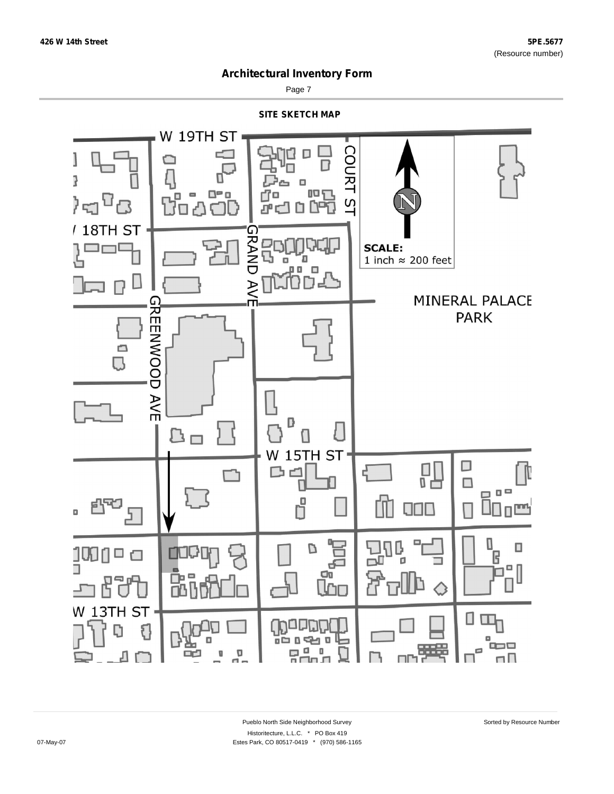

Page 7